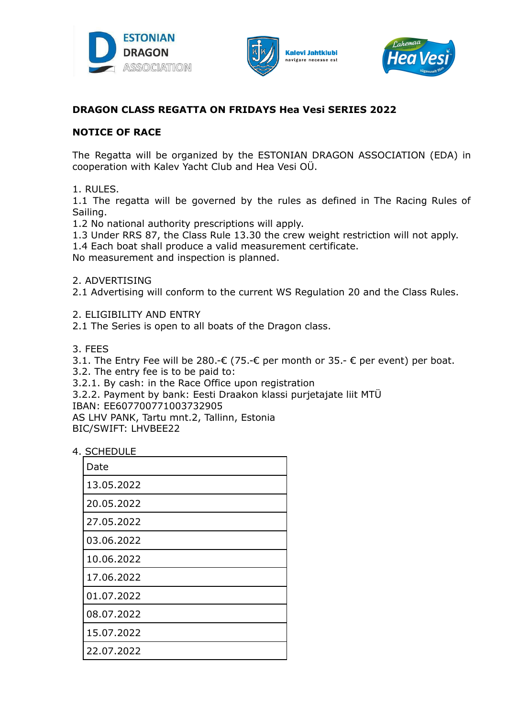





# **DRAGON CLASS REGATTA ON FRIDAYS Hea Vesi SERIES 2022**

## **NOTICE OF RACE**

The Regatta will be organized by the ESTONIAN DRAGON ASSOCIATION (EDA) in cooperation with Kalev Yacht Club and Hea Vesi OÜ.

1. RULES.

1.1 The regatta will be governed by the rules as defined in The Racing Rules of Sailing.

- 1.2 No national authority prescriptions will apply.
- 1.3 Under RRS 87, the Class Rule 13.30 the crew weight restriction will not apply.
- 1.4 Each boat shall produce a valid measurement certificate.

No measurement and inspection is planned.

### 2. ADVERTISING

2.1 Advertising will conform to the current WS Regulation 20 and the Class Rules.

2. ELIGIBILITY AND ENTRY

2.1 The Series is open to all boats of the Dragon class.

3. FEES

3.1. The Entry Fee will be 280.-€ (75.-€ per month or 35.-  $\epsilon$  per event) per boat.

3.2. The entry fee is to be paid to:

3.2.1. By cash: in the Race Office upon registration

3.2.2. Payment by bank: Eesti Draakon klassi purjetajate liit MTÜ

IBAN: EE607700771003732905

AS LHV PANK, Tartu mnt.2, Tallinn, Estonia BIC/SWIFT: LHVBEE22

4. SCHEDULE

| Date       |
|------------|
| 13.05.2022 |
| 20.05.2022 |
| 27.05.2022 |
| 03.06.2022 |
| 10.06.2022 |
| 17.06.2022 |
| 01.07.2022 |
| 08.07.2022 |
| 15.07.2022 |
| 22.07.2022 |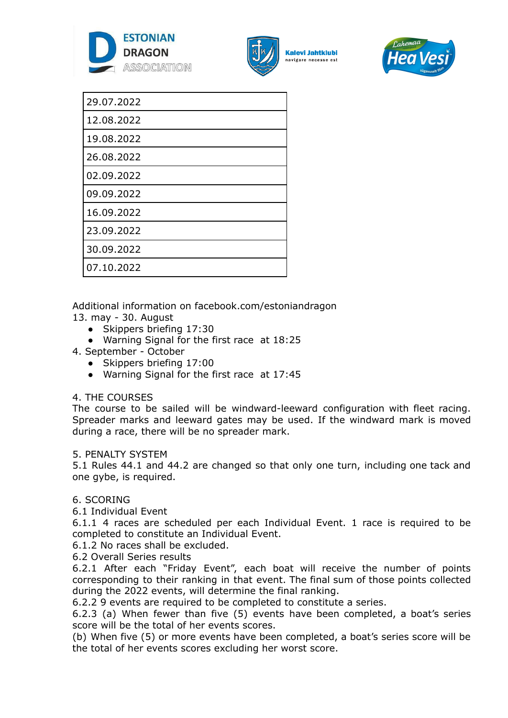



**Kalevi Jahtklubi** avigare necesse est



| 29.07.2022 |  |
|------------|--|
| 12.08.2022 |  |
| 19.08.2022 |  |
| 26.08.2022 |  |
| 02.09.2022 |  |
| 09.09.2022 |  |
| 16.09.2022 |  |
| 23.09.2022 |  |
| 30.09.2022 |  |
| 07.10.2022 |  |

Additional information on facebook.com/estoniandragon

13. may - 30. August

- Skippers briefing 17:30
- Warning Signal for the first race at 18:25
- 4. September October
	- Skippers briefing 17:00
	- Warning Signal for the first race at 17:45

## 4. THE COURSES

The course to be sailed will be windward-leeward configuration with fleet racing. Spreader marks and leeward gates may be used. If the windward mark is moved during a race, there will be no spreader mark.

## 5. PENALTY SYSTEM

5.1 Rules 44.1 and 44.2 are changed so that only one turn, including one tack and one gybe, is required.

## 6. SCORING

6.1 Individual Event

6.1.1 4 races are scheduled per each Individual Event. 1 race is required to be completed to constitute an Individual Event.

6.1.2 No races shall be excluded.

6.2 Overall Series results

6.2.1 After each "Friday Event", each boat will receive the number of points corresponding to their ranking in that event. The final sum of those points collected during the 2022 events, will determine the final ranking.

6.2.2 9 events are required to be completed to constitute a series.

6.2.3 (a) When fewer than five (5) events have been completed, a boat's series score will be the total of her events scores.

(b) When five (5) or more events have been completed, a boat's series score will be the total of her events scores excluding her worst score.